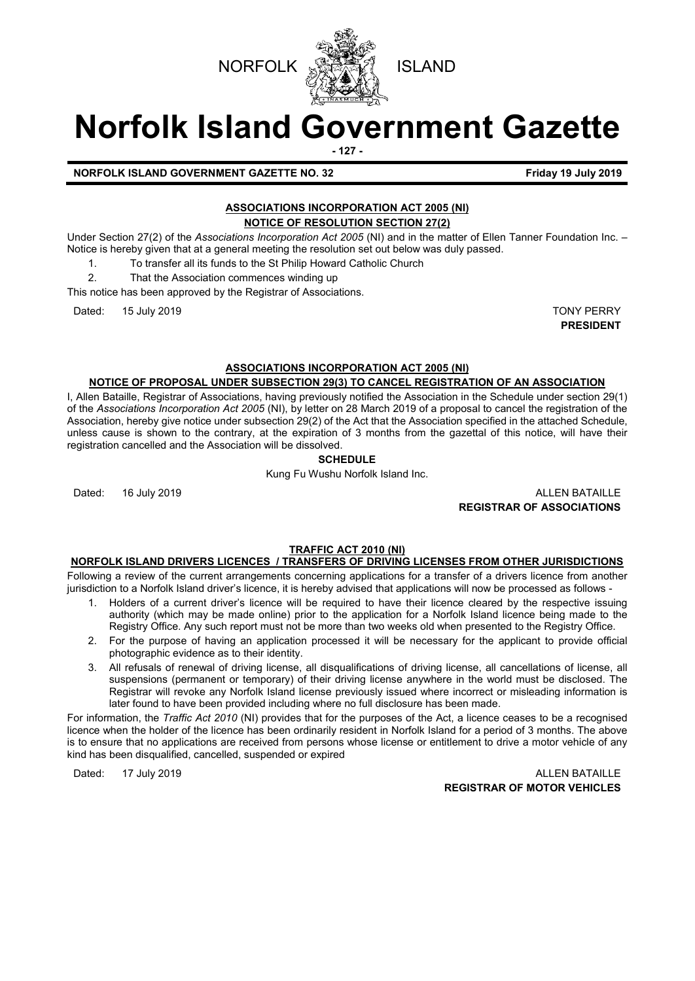

# **Norfolk Island Government Gazette**

**- 127 -**

**NORFOLK ISLAND GOVERNMENT GAZETTE NO. 32 Friday 19 July 2019**

# **ASSOCIATIONS INCORPORATION ACT 2005 (NI) NOTICE OF RESOLUTION SECTION 27(2)**

Under Section 27(2) of the *Associations Incorporation Act 2005* (NI) and in the matter of Ellen Tanner Foundation Inc. – Notice is hereby given that at a general meeting the resolution set out below was duly passed.

- 1. To transfer all its funds to the St Philip Howard Catholic Church
- 2. That the Association commences winding up

This notice has been approved by the Registrar of Associations.

Dated: 15 July 2019 TONY PERRY

**PRESIDENT**

# **ASSOCIATIONS INCORPORATION ACT 2005 (NI)**

## **NOTICE OF PROPOSAL UNDER SUBSECTION 29(3) TO CANCEL REGISTRATION OF AN ASSOCIATION**

I, Allen Bataille, Registrar of Associations, having previously notified the Association in the Schedule under section 29(1) of the *Associations Incorporation Act 2005* (NI), by letter on 28 March 2019 of a proposal to cancel the registration of the Association, hereby give notice under subsection 29(2) of the Act that the Association specified in the attached Schedule, unless cause is shown to the contrary, at the expiration of 3 months from the gazettal of this notice, will have their registration cancelled and the Association will be dissolved.

# **SCHEDULE**

Kung Fu Wushu Norfolk Island Inc.

Dated: 16 July 2019 ALLEN BATAILLE **REGISTRAR OF ASSOCIATIONS**

# **TRAFFIC ACT 2010 (NI)**

# **NORFOLK ISLAND DRIVERS LICENCES / TRANSFERS OF DRIVING LICENSES FROM OTHER JURISDICTIONS**

Following a review of the current arrangements concerning applications for a transfer of a drivers licence from another jurisdiction to a Norfolk Island driver's licence, it is hereby advised that applications will now be processed as follows -

- 1. Holders of a current driver's licence will be required to have their licence cleared by the respective issuing authority (which may be made online) prior to the application for a Norfolk Island licence being made to the Registry Office. Any such report must not be more than two weeks old when presented to the Registry Office.
- 2. For the purpose of having an application processed it will be necessary for the applicant to provide official photographic evidence as to their identity.
- 3. All refusals of renewal of driving license, all disqualifications of driving license, all cancellations of license, all suspensions (permanent or temporary) of their driving license anywhere in the world must be disclosed. The Registrar will revoke any Norfolk Island license previously issued where incorrect or misleading information is later found to have been provided including where no full disclosure has been made.

For information, the *Traffic Act 2010* (NI) provides that for the purposes of the Act, a licence ceases to be a recognised licence when the holder of the licence has been ordinarily resident in Norfolk Island for a period of 3 months. The above is to ensure that no applications are received from persons whose license or entitlement to drive a motor vehicle of any kind has been disqualified, cancelled, suspended or expired

Dated: 17 July 2019 ALLEN BATAILLE **REGISTRAR OF MOTOR VEHICLES**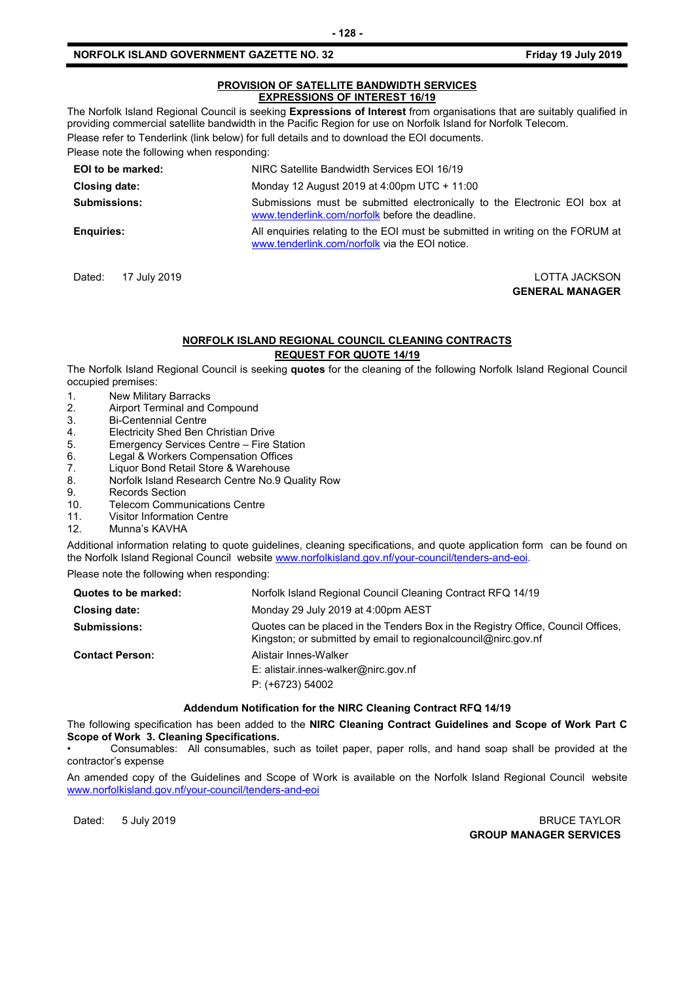#### **PROVISION OF SATELLITE BANDWIDTH SERVICES EXPRESSIONS OF INTEREST 16/19**

The Norfolk Island Regional Council is seeking **Expressions of Interest** from organisations that are suitably qualified in providing commercial satellite bandwidth in the Pacific Region for use on Norfolk Island for Norfolk Telecom. Please refer to Tenderlink (link below) for full details and to download the EOI documents.

Please note the following when responding: **EOI to be marked:** NIRC Satellite Bandwidth Services EOI 16/19 **Closing date:** Monday 12 August 2019 at 4:00pm UTC + 11:00 **Submissions:** Submissions must be submitted electronically to the Electronic EOI box at [www.tenderlink.com/norfolk](http://www.tenderlink.com/norfolk) before the deadline. **Enquiries:** All enquiries relating to the EOI must be submitted in writing on the FORUM at [www.tenderlink.com/norfolk](http://www.tenderlink.com/norfolk) via the EOI notice.

Dated: 17 July 2019 LOTTA JACKSON

**GENERAL MANAGER**

# **NORFOLK ISLAND REGIONAL COUNCIL CLEANING CONTRACTS**

## **REQUEST FOR QUOTE 14/19**

The Norfolk Island Regional Council is seeking **quotes** for the cleaning of the following Norfolk Island Regional Council occupied premises:

- 1. New Military Barracks
- 2. Airport Terminal and Compound<br>3. Bi-Centennial Centre
- 3. Bi-Centennial Centre<br>4. Electricity Shed Ben
- 4. Electricity Shed Ben Christian Drive<br>5. Emergency Services Centre Fire S
- 5. Emergency Services Centre Fire Station
- 6. Legal & Workers Compensation Offices
- 7. Liquor Bond Retail Store & Warehouse<br>8. Norfolk Island Research Centre No.9 Q
- 8. Norfolk Island Research Centre No.9 Quality Row
- 9. Records Section<br>10. Telecom Commu
- **Telecom Communications Centre**
- 11. Visitor Information Centre
- 12. Munna's KAVHA

Additional information relating to quote guidelines, cleaning specifications, and quote application form can be found on the Norfolk Island Regional Council website [www.norfolkisland.gov.nf/your-council/tenders-and-eoi.](http://www.norfolkisland.gov.nf/your-council/tenders-and-eoi)

Please note the following when responding:

| Quotes to be marked:   | Norfolk Island Regional Council Cleaning Contract RFQ 14/19                                                                                          |
|------------------------|------------------------------------------------------------------------------------------------------------------------------------------------------|
| Closing date:          | Monday 29 July 2019 at 4:00pm AEST                                                                                                                   |
| <b>Submissions:</b>    | Quotes can be placed in the Tenders Box in the Registry Office, Council Offices,<br>Kingston; or submitted by email to regional council @nirc.gov.nf |
| <b>Contact Person:</b> | Alistair Innes-Walker<br>E: alistair.innes-walker@nirc.gov.nf<br>$P: (+6723) 54002$                                                                  |

#### **Addendum Notification for the NIRC Cleaning Contract RFQ 14/19**

The following specification has been added to the **NIRC Cleaning Contract Guidelines and Scope of Work Part C Scope of Work 3. Cleaning Specifications.** 

• Consumables: All consumables, such as toilet paper, paper rolls, and hand soap shall be provided at the contractor's expense

An amended copy of the Guidelines and Scope of Work is available on the Norfolk Island Regional Council website [www.norfolkisland.gov.nf/your-council/tenders-and-eoi](http://www.norfolkisland.gov.nf/your-council/tenders-and-eoi)

Dated: 5 July 2019 **BRUCE TAYLOR GROUP MANAGER SERVICES**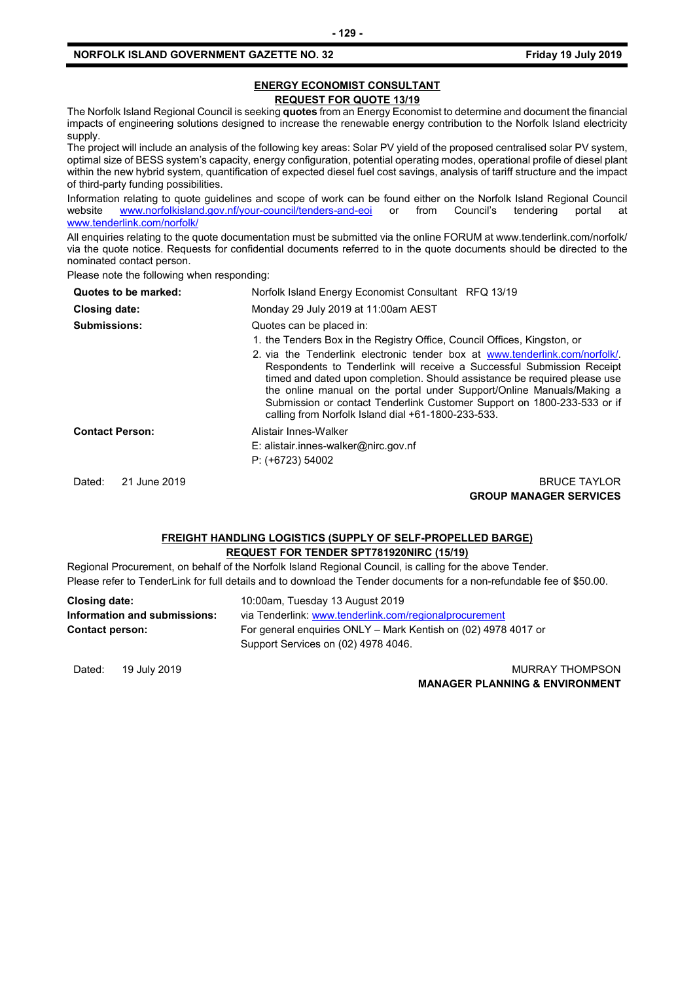#### **ENERGY ECONOMIST CONSULTANT REQUEST FOR QUOTE 13/19**

The Norfolk Island Regional Council is seeking **quotes** from an Energy Economist to determine and document the financial impacts of engineering solutions designed to increase the renewable energy contribution to the Norfolk Island electricity supply.

The project will include an analysis of the following key areas: Solar PV yield of the proposed centralised solar PV system, optimal size of BESS system's capacity, energy configuration, potential operating modes, operational profile of diesel plant within the new hybrid system, quantification of expected diesel fuel cost savings, analysis of tariff structure and the impact of third-party funding possibilities.

Information relating to quote guidelines and scope of work can be found either on the Norfolk Island Regional Council<br>website www.norfolkisland.gov.nf/your-council/tenders-and-eoi or from Council's tendering portal at [www.norfolkisland.gov.nf/your-council/tenders-and-eoi](http://www.norfolkisland.gov.nf/your-council/tenders-and-eoi) or from Council's tendering portal at [www.tenderlink.com/norfolk/](http://www.tenderlink.com/norfolk/)

All enquiries relating to the quote documentation must be submitted via the online FORUM at www.tenderlink.com/norfolk/ via the quote notice. Requests for confidential documents referred to in the quote documents should be directed to the nominated contact person.

Please note the following when responding:

| Quotes to be marked:   | Norfolk Island Energy Economist Consultant RFQ 13/19                                                                                                                                                                                                                                                                                                                                                                                        |
|------------------------|---------------------------------------------------------------------------------------------------------------------------------------------------------------------------------------------------------------------------------------------------------------------------------------------------------------------------------------------------------------------------------------------------------------------------------------------|
| <b>Closing date:</b>   | Monday 29 July 2019 at 11:00am AEST                                                                                                                                                                                                                                                                                                                                                                                                         |
| <b>Submissions:</b>    | Quotes can be placed in:                                                                                                                                                                                                                                                                                                                                                                                                                    |
|                        | 1. the Tenders Box in the Registry Office, Council Offices, Kingston, or                                                                                                                                                                                                                                                                                                                                                                    |
|                        | 2. via the Tenderlink electronic tender box at www.tenderlink.com/norfolk/<br>Respondents to Tenderlink will receive a Successful Submission Receipt<br>timed and dated upon completion. Should assistance be required please use<br>the online manual on the portal under Support/Online Manuals/Making a<br>Submission or contact Tenderlink Customer Support on 1800-233-533 or if<br>calling from Norfolk Island dial +61-1800-233-533. |
| <b>Contact Person:</b> | Alistair Innes-Walker                                                                                                                                                                                                                                                                                                                                                                                                                       |
|                        | E: alistair.innes-walker@nirc.gov.nf                                                                                                                                                                                                                                                                                                                                                                                                        |
|                        | $P: (+6723) 54002$                                                                                                                                                                                                                                                                                                                                                                                                                          |
| 21 June 2019<br>Dated: | <b>BRUCE TAYLOR</b>                                                                                                                                                                                                                                                                                                                                                                                                                         |
|                        | <b>GROUP MANAGER SERVICES</b>                                                                                                                                                                                                                                                                                                                                                                                                               |

## **FREIGHT HANDLING LOGISTICS (SUPPLY OF SELF-PROPELLED BARGE) REQUEST FOR TENDER SPT781920NIRC (15/19)**

Regional Procurement, on behalf of the Norfolk Island Regional Council, is calling for the above Tender. Please refer to TenderLink for full details and to download the Tender documents for a non-refundable fee of \$50.00.

| Closing date:                | 10:00am, Tuesday 13 August 2019                                |
|------------------------------|----------------------------------------------------------------|
| Information and submissions: | via Tenderlink: www.tenderlink.com/regionalprocurement         |
| <b>Contact person:</b>       | For general enguiries ONLY – Mark Kentish on (02) 4978 4017 or |
|                              | Support Services on (02) 4978 4046.                            |

Dated: 19 July 2019 **MURRAY THOMPSON MANAGER PLANNING & ENVIRONMENT**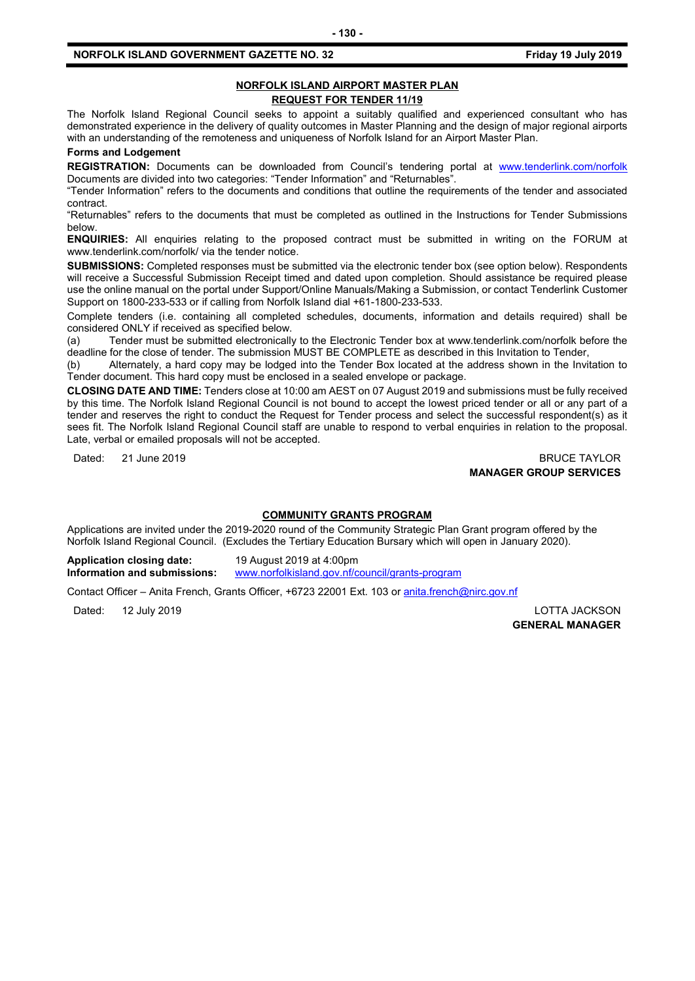## **NORFOLK ISLAND AIRPORT MASTER PLAN REQUEST FOR TENDER 11/19**

The Norfolk Island Regional Council seeks to appoint a suitably qualified and experienced consultant who has demonstrated experience in the delivery of quality outcomes in Master Planning and the design of major regional airports with an understanding of the remoteness and uniqueness of Norfolk Island for an Airport Master Plan.

**Forms and Lodgement**

**REGISTRATION:** Documents can be downloaded from Council's tendering portal at [www.tenderlink.com/norfolk](http://www.tenderlink.com/norfolk) Documents are divided into two categories: "Tender Information" and "Returnables".

"Tender Information" refers to the documents and conditions that outline the requirements of the tender and associated contract.

"Returnables" refers to the documents that must be completed as outlined in the Instructions for Tender Submissions below.

**ENQUIRIES:** All enquiries relating to the proposed contract must be submitted in writing on the FORUM at www.tenderlink.com/norfolk/ via the tender notice.

**SUBMISSIONS:** Completed responses must be submitted via the electronic tender box (see option below). Respondents will receive a Successful Submission Receipt timed and dated upon completion. Should assistance be required please use the online manual on the portal under Support/Online Manuals/Making a Submission, or contact Tenderlink Customer Support on 1800-233-533 or if calling from Norfolk Island dial +61-1800-233-533.

Complete tenders (i.e. containing all completed schedules, documents, information and details required) shall be considered ONLY if received as specified below.

(a) Tender must be submitted electronically to the Electronic Tender box at www.tenderlink.com/norfolk before the deadline for the close of tender. The submission MUST BE COMPLETE as described in this Invitation to Tender,

(b) Alternately, a hard copy may be lodged into the Tender Box located at the address shown in the Invitation to Tender document. This hard copy must be enclosed in a sealed envelope or package.

**CLOSING DATE AND TIME:** Tenders close at 10:00 am AEST on 07 August 2019 and submissions must be fully received by this time. The Norfolk Island Regional Council is not bound to accept the lowest priced tender or all or any part of a tender and reserves the right to conduct the Request for Tender process and select the successful respondent(s) as it sees fit. The Norfolk Island Regional Council staff are unable to respond to verbal enquiries in relation to the proposal. Late, verbal or emailed proposals will not be accepted.

Dated: 21 June 2019 **BRUCE TAYLOR MANAGER GROUP SERVICES**

#### **COMMUNITY GRANTS PROGRAM**

Applications are invited under the 2019-2020 round of the Community Strategic Plan Grant program offered by the Norfolk Island Regional Council. (Excludes the Tertiary Education Bursary which will open in January 2020).

**Application closing date:** 19 August 2019 at 4:00pm **Information and submissions:** [www.norfolkisland.gov.nf/council/grants-program](http://www.norfolkisland.gov.nf/council/grants-program)

Contact Officer – Anita French, Grants Officer, +6723 22001 Ext. 103 or [anita.french@nirc.gov.nf](mailto:anita.french@nirc.gov.nf)

Dated: 12 July 2019 LOTTA JACKSON **GENERAL MANAGER**